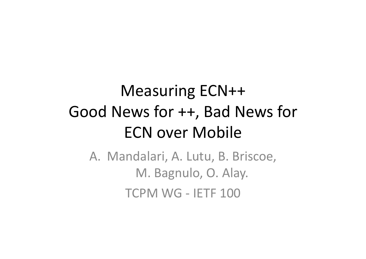# Measuring ECN++ Good News for  $++$ , Bad News for **ECN over Mobile**

A. Mandalari, A. Lutu, B. Briscoe, M. Bagnulo, O. Alay. TCPM WG - IETF 100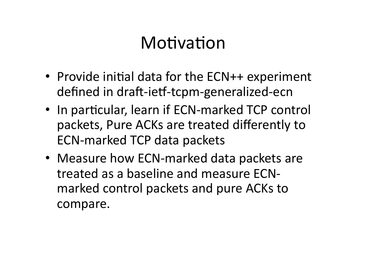## Motivation

- Provide initial data for the ECN++ experiment defined in draft-ietf-tcpm-generalized-ecn
- In particular, learn if ECN-marked TCP control packets, Pure ACKs are treated differently to ECN-marked TCP data packets
- Measure how ECN-marked data packets are treated as a baseline and measure ECNmarked control packets and pure ACKs to compare.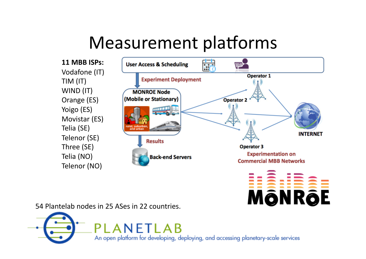## Measurement platforms

**11 MBB ISPs:**  Vodafone (IT) TIM (IT) WIND (IT) Orange (ES) Yoigo (ES) Movistar (ES) Telia (SE) Telenor (SE) Three (SE) Telia (NO) Telenor (NO)





54 Plantelab nodes in 25 ASes in 22 countries.

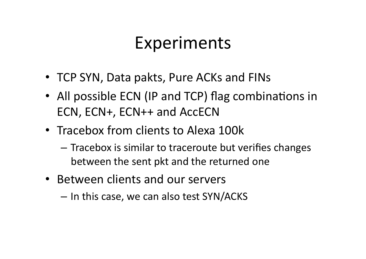## Experiments

- TCP SYN, Data pakts, Pure ACKs and FINs
- All possible ECN (IP and TCP) flag combinations in ECN, ECN+, ECN++ and AccECN
- Tracebox from clients to Alexa 100k
	- $-$  Tracebox is similar to traceroute but verifies changes between the sent pkt and the returned one
- Between clients and our servers
	- $-$  In this case, we can also test SYN/ACKS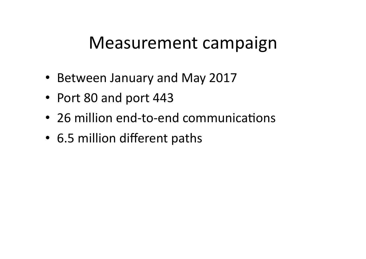### Measurement campaign

- Between January and May 2017
- Port 80 and port 443
- 26 million end-to-end communications
- 6.5 million different paths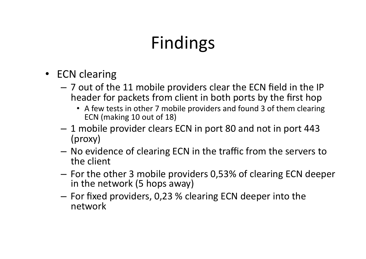# Findings

- ECN clearing
	- $-$  7 out of the 11 mobile providers clear the ECN field in the IP header for packets from client in both ports by the first hop
		- A few tests in other 7 mobile providers and found 3 of them clearing ECN (making 10 out of 18)
	- $-1$  mobile provider clears ECN in port 80 and not in port 443 (proxy)
	- No evidence of clearing ECN in the traffic from the servers to the client
	- $-$  For the other 3 mobile providers 0,53% of clearing ECN deeper in the network (5 hops away)
	- $-$  For fixed providers, 0,23 % clearing ECN deeper into the network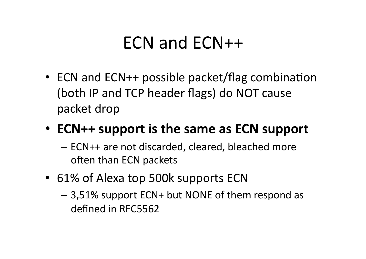## ECN and ECN++

• ECN and  $ECN++$  possible packet/flag combination (both IP and TCP header flags) do NOT cause packet drop

#### • **ECN++** support is the same as ECN support

- $-$  ECN++ are not discarded, cleared, bleached more often than ECN packets
- 61% of Alexa top 500k supports ECN
	- $-$  3,51% support ECN+ but NONE of them respond as defined in RFC5562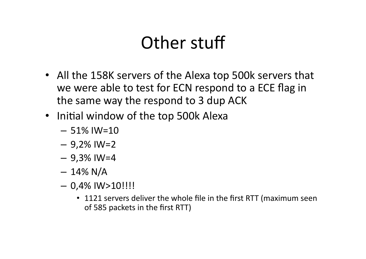# Other stuff

- All the 158K servers of the Alexa top 500k servers that we were able to test for ECN respond to a ECE flag in the same way the respond to 3 dup ACK
- Initial window of the top 500k Alexa
	- $-51\%$  IW=10
	- $-9,2\%$  IW=2
	- $-9,3\%$  IW=4
	- $-14\%$  N/A
	- $-$  0,4% IW>10!!!!
		- 1121 servers deliver the whole file in the first RTT (maximum seen of 585 packets in the first RTT)